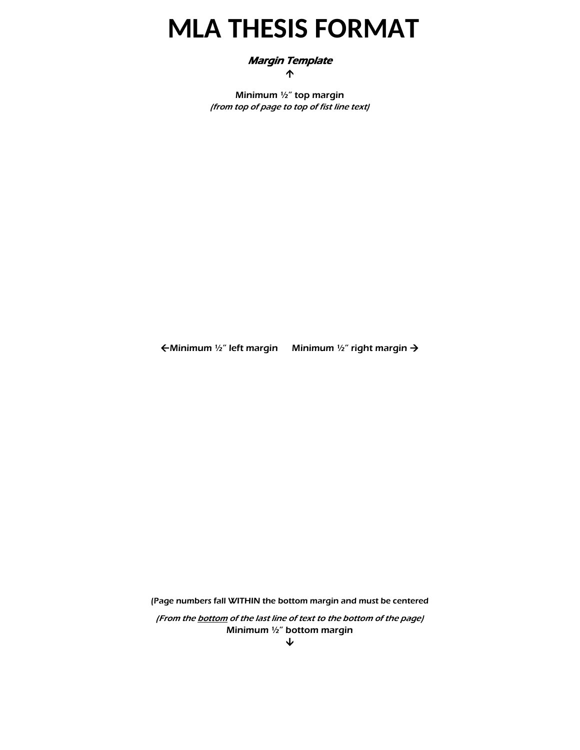# **MLA THESIS FORMAT**

## Margin Template

↑

Minimum ½" top margin (from top of page to top of fist line text)

 $\epsilon$ Minimum ½" left margin Minimum ½" right margin  $\rightarrow$ 

(Page numbers fall WITHIN the bottom margin and must be centered

(From the **bottom** of the last line of text to the bottom of the page) Minimum ½" bottom margin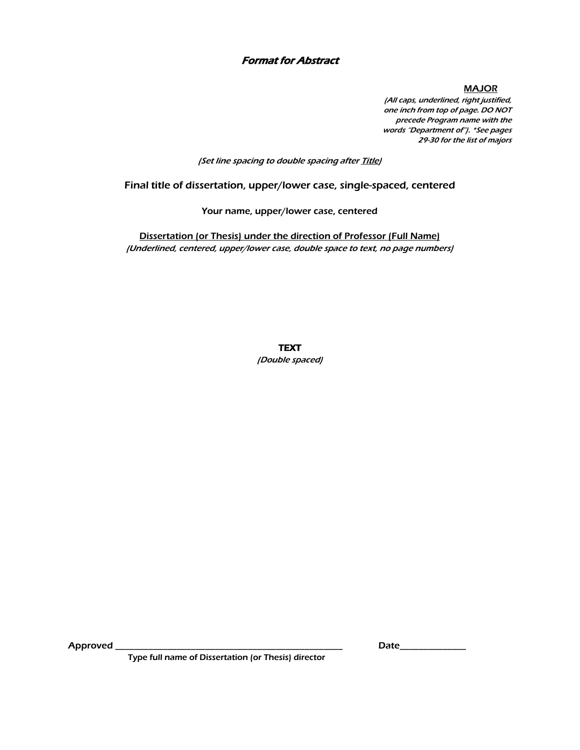## Format for Abstract

**MAJOR** 

(All caps, underlined, right justified, one inch from top of page. DO NOT precede Program name with the words "Department of"). \*See pages 29-30 for the list of majors

(Set line spacing to double spacing after Title)

Final title of dissertation, upper/lower case, single-spaced, centered

Your name, upper/lower case, centered

Dissertation (or Thesis) under the direction of Professor (Full Name) (Underlined, centered, upper/lower case, double space to text, no page numbers)

**TEXT** 

(Double spaced)

Approved \_\_\_\_\_\_\_\_\_\_\_\_\_\_\_\_\_\_\_\_\_\_\_\_\_\_\_\_\_\_\_\_\_\_\_\_\_\_\_\_\_\_\_\_\_\_\_\_ Date\_\_\_\_\_\_\_\_\_\_\_\_\_\_

Type full name of Dissertation (or Thesis) director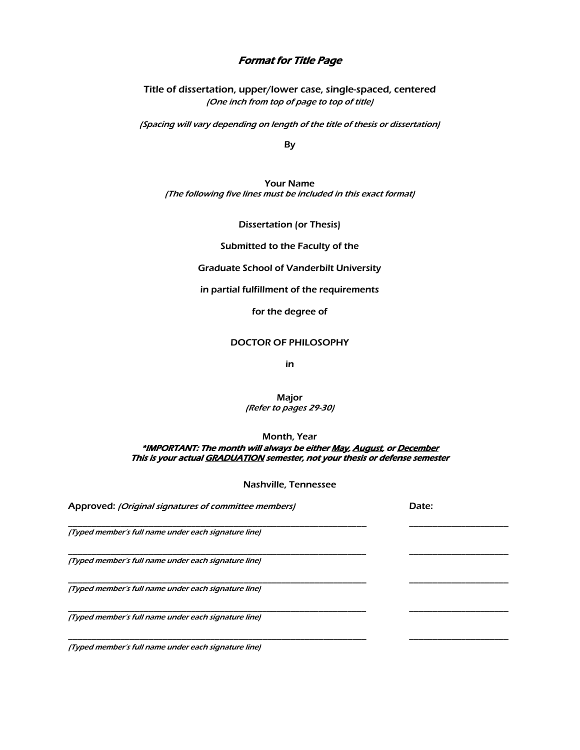### Format for Title Page

Title of dissertation, upper/lower case, single-spaced, centered (One inch from top of page to top of title)

(Spacing will vary depending on length of the title of thesis or dissertation)

By

Your Name (The following five lines must be included in this exact format)

Dissertation (or Thesis)

Submitted to the Faculty of the

Graduate School of Vanderbilt University

in partial fulfillment of the requirements

for the degree of

DOCTOR OF PHILOSOPHY

in

Major (Refer to pages 29-30)

Month, Year

\*IMPORTANT: The month will always be either May, August, or December This is your actual GRADUATION semester, not your thesis or defense semester

Nashville, Tennessee

| Approved: (Original signatures of committee members) | Date: |
|------------------------------------------------------|-------|
| (Typed member's full name under each signature line) |       |
| (Typed member's full name under each signature line) |       |
| (Typed member's full name under each signature line) |       |
| (Typed member's full name under each signature line) |       |
| (Typed member's full name under each signature line) |       |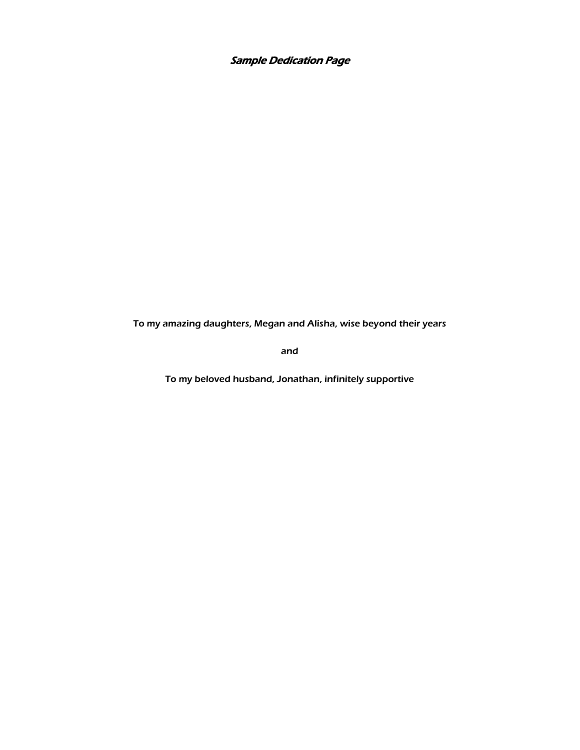Sample Dedication Page

To my amazing daughters, Megan and Alisha, wise beyond their years

and

To my beloved husband, Jonathan, infinitely supportive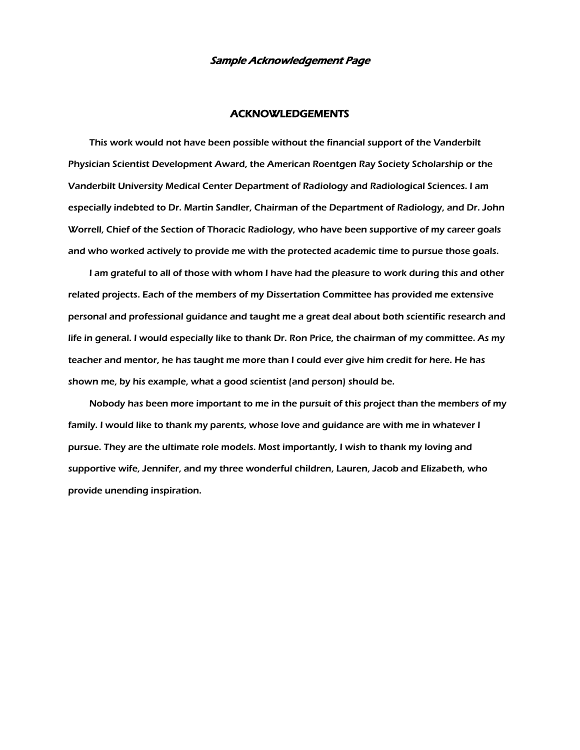#### Sample Acknowledgement Page

#### ACKNOWLEDGEMENTS

 This work would not have been possible without the financial support of the Vanderbilt Physician Scientist Development Award, the American Roentgen Ray Society Scholarship or the Vanderbilt University Medical Center Department of Radiology and Radiological Sciences. I am especially indebted to Dr. Martin Sandler, Chairman of the Department of Radiology, and Dr. John Worrell, Chief of the Section of Thoracic Radiology, who have been supportive of my career goals and who worked actively to provide me with the protected academic time to pursue those goals.

 I am grateful to all of those with whom I have had the pleasure to work during this and other related projects. Each of the members of my Dissertation Committee has provided me extensive personal and professional guidance and taught me a great deal about both scientific research and life in general. I would especially like to thank Dr. Ron Price, the chairman of my committee. As my teacher and mentor, he has taught me more than I could ever give him credit for here. He has shown me, by his example, what a good scientist (and person) should be.

 Nobody has been more important to me in the pursuit of this project than the members of my family. I would like to thank my parents, whose love and guidance are with me in whatever I pursue. They are the ultimate role models. Most importantly, I wish to thank my loving and supportive wife, Jennifer, and my three wonderful children, Lauren, Jacob and Elizabeth, who provide unending inspiration.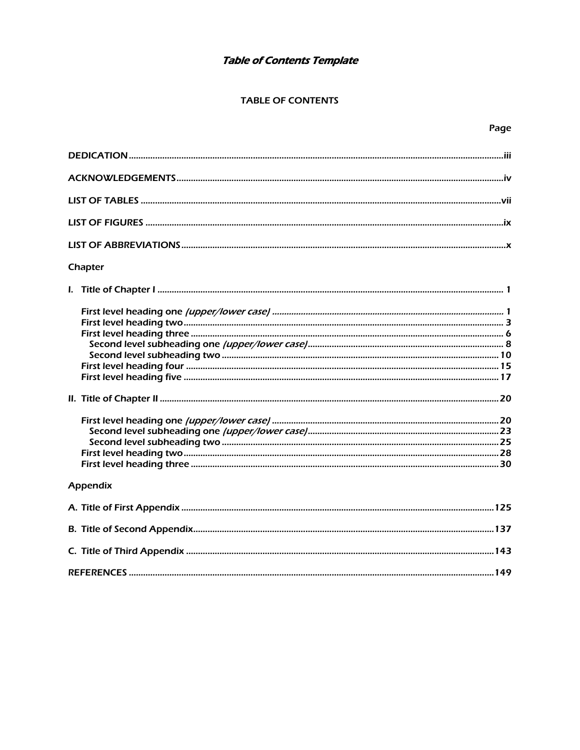# Table of Contents Template

## **TABLE OF CONTENTS**

| Chapter  |  |
|----------|--|
|          |  |
|          |  |
|          |  |
|          |  |
|          |  |
|          |  |
|          |  |
|          |  |
|          |  |
|          |  |
|          |  |
|          |  |
|          |  |
|          |  |
| Appendix |  |
|          |  |
|          |  |
|          |  |
|          |  |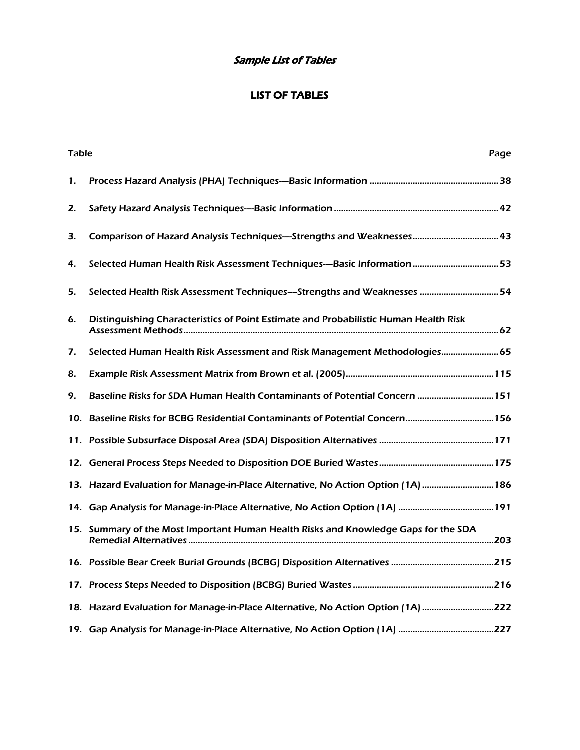# Sample List of Tables

# LIST OF TABLES

| <b>Table</b> |                                                                                      | Page |
|--------------|--------------------------------------------------------------------------------------|------|
| 1.           |                                                                                      |      |
| 2.           |                                                                                      |      |
| 3.           |                                                                                      |      |
| 4.           |                                                                                      |      |
| 5.           | Selected Health Risk Assessment Techniques—Strengths and Weaknesses  54              |      |
| 6.           | Distinguishing Characteristics of Point Estimate and Probabilistic Human Health Risk |      |
| 7.           |                                                                                      |      |
| 8.           |                                                                                      |      |
| 9.           | Baseline Risks for SDA Human Health Contaminants of Potential Concern  151           |      |
|              | 156. Baseline Risks for BCBG Residential Contaminants of Potential Concern 15        |      |
|              |                                                                                      |      |
|              |                                                                                      |      |
|              | 186. Hazard Evaluation for Manage-in-Place Alternative, No Action Option (1A)  186   |      |
|              |                                                                                      |      |
|              | 15. Summary of the Most Important Human Health Risks and Knowledge Gaps for the SDA  |      |
|              |                                                                                      |      |
|              |                                                                                      |      |
|              | 18. Hazard Evaluation for Manage-in-Place Alternative, No Action Option (1A) 222     |      |
|              |                                                                                      |      |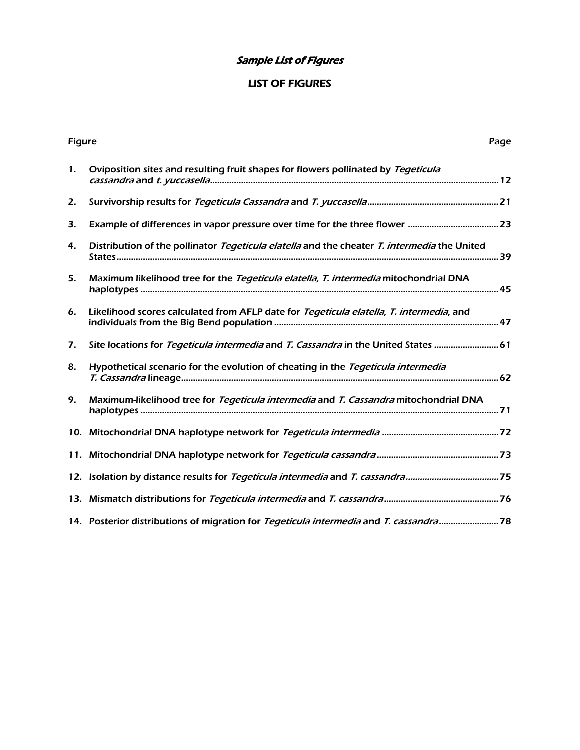# Sample List of Figures

# LIST OF FIGURES

| <b>Figure</b> |                                                                                             | Page |
|---------------|---------------------------------------------------------------------------------------------|------|
| 1.            | Oviposition sites and resulting fruit shapes for flowers pollinated by Tegeticula           |      |
| 2.            |                                                                                             |      |
| 3.            |                                                                                             |      |
| 4.            | Distribution of the pollinator Tegeticula elatella and the cheater T. intermedia the United |      |
| 5.            | Maximum likelihood tree for the Tegeticula elatella, T. intermedia mitochondrial DNA        |      |
| 6.            | Likelihood scores calculated from AFLP date for Tegeticula elatella, T. intermedia, and     |      |
| 7.            | Site locations for Tegeticula intermedia and T. Cassandra in the United States  61          |      |
| 8.            | Hypothetical scenario for the evolution of cheating in the Tegeticula intermedia            |      |
| 9.            | Maximum-likelihood tree for Tegeticula intermedia and T. Cassandra mitochondrial DNA        |      |
|               |                                                                                             |      |
|               |                                                                                             |      |
|               | 12. Isolation by distance results for Tegeticula intermedia and T. cassandra75              |      |
|               |                                                                                             |      |
|               |                                                                                             |      |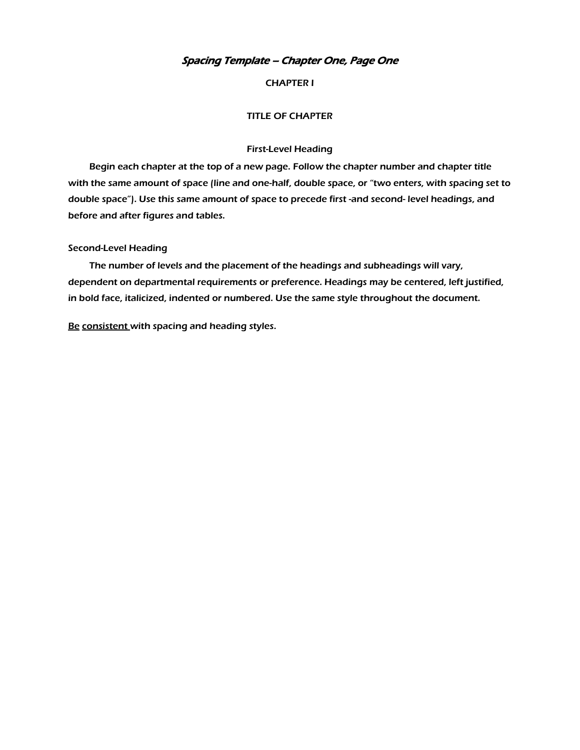## Spacing Template – Chapter One, Page One

#### CHAPTER I

#### TITLE OF CHAPTER

#### First-Level Heading

 Begin each chapter at the top of a new page. Follow the chapter number and chapter title with the same amount of space (line and one-half, double space, or "two enters, with spacing set to double space"). Use this same amount of space to precede first -and second- level headings, and before and after figures and tables.

#### Second-Level Heading

 The number of levels and the placement of the headings and subheadings will vary, dependent on departmental requirements or preference. Headings may be centered, left justified, in bold face, italicized, indented or numbered. Use the same style throughout the document.

Be consistent with spacing and heading styles.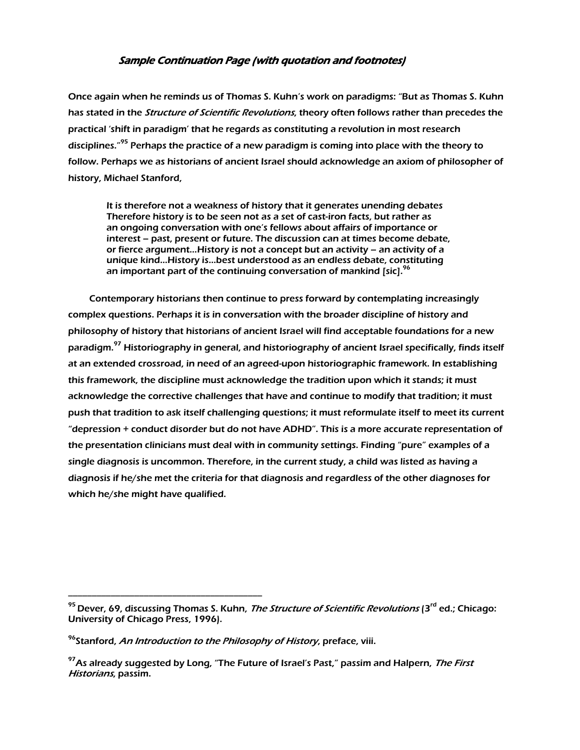## Sample Continuation Page (with quotation and footnotes)

Once again when he reminds us of Thomas S. Kuhn's work on paradigms: "But as Thomas S. Kuhn has stated in the *Structure of Scientific Revolutions*, theory often follows rather than precedes the practical 'shift in paradigm' that he regards as constituting a revolution in most research disciplines."<sup>95</sup> Perhaps the practice of a new paradigm is coming into place with the theory to follow. Perhaps we as historians of ancient Israel should acknowledge an axiom of philosopher of history, Michael Stanford,

 It is therefore not a weakness of history that it generates unending debates Therefore history is to be seen not as a set of cast-iron facts, but rather as an ongoing conversation with one's fellows about affairs of importance or interest – past, present or future. The discussion can at times become debate, or fierce argument…History is not a concept but an activity – an activity of a unique kind…History is…best understood as an endless debate, constituting an important part of the continuing conversation of mankind [sic]. $96$ 

 Contemporary historians then continue to press forward by contemplating increasingly complex questions. Perhaps it is in conversation with the broader discipline of history and philosophy of history that historians of ancient Israel will find acceptable foundations for a new paradigm.<sup>97</sup> Historiography in general, and historiography of ancient Israel specifically, finds itself at an extended crossroad, in need of an agreed-upon historiographic framework. In establishing this framework, the discipline must acknowledge the tradition upon which it stands; it must acknowledge the corrective challenges that have and continue to modify that tradition; it must push that tradition to ask itself challenging questions; it must reformulate itself to meet its current "depression + conduct disorder but do not have ADHD". This is a more accurate representation of the presentation clinicians must deal with in community settings. Finding "pure" examples of a single diagnosis is uncommon. Therefore, in the current study, a child was listed as having a diagnosis if he/she met the criteria for that diagnosis and regardless of the other diagnoses for which he/she might have qualified.

\_\_\_\_\_\_\_\_\_\_\_\_\_\_\_\_\_\_\_\_\_\_\_\_\_\_\_\_\_\_\_\_\_\_\_\_\_\_\_\_\_

 $95$  Dever, 69, discussing Thomas S. Kuhn, *The Structure of Scientific Revolutions* (3<sup>rd</sup> ed.; Chicago: University of Chicago Press, 1996).

<sup>&</sup>lt;sup>96</sup>Stanford, *An Introduction to the Philosophy of History*, preface, viii.

<sup>&</sup>lt;sup>97</sup>As already suggested by Long, "The Future of Israel's Past," passim and Halpern, *The First* Historians, passim.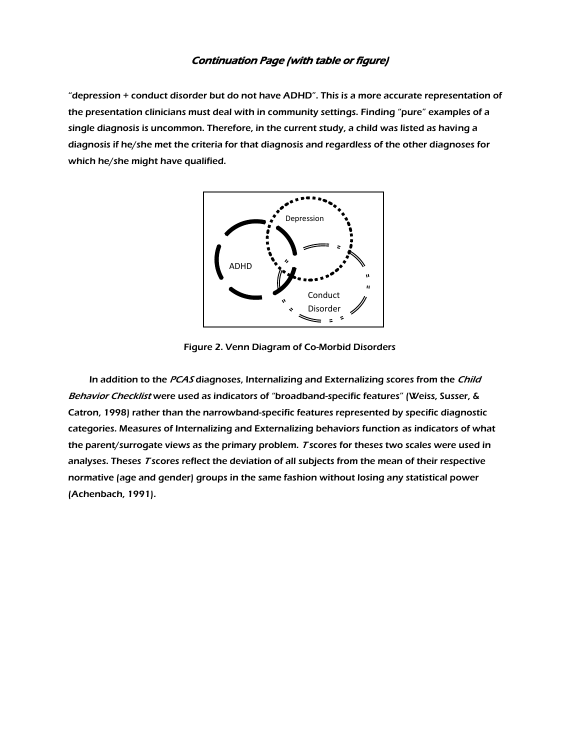## Continuation Page (with table or figure)

"depression + conduct disorder but do not have ADHD". This is a more accurate representation of the presentation clinicians must deal with in community settings. Finding "pure" examples of a single diagnosis is uncommon. Therefore, in the current study, a child was listed as having a diagnosis if he/she met the criteria for that diagnosis and regardless of the other diagnoses for which he/she might have qualified.



Figure 2. Venn Diagram of Co-Morbid Disorders

In addition to the PCAS diagnoses, Internalizing and Externalizing scores from the Child Behavior Checklist were used as indicators of "broadband-specific features" (Weiss, Susser, & Catron, 1998) rather than the narrowband-specific features represented by specific diagnostic categories. Measures of Internalizing and Externalizing behaviors function as indicators of what the parent/surrogate views as the primary problem. T scores for theses two scales were used in analyses. Theses T scores reflect the deviation of all subjects from the mean of their respective normative (age and gender) groups in the same fashion without losing any statistical power (Achenbach, 1991).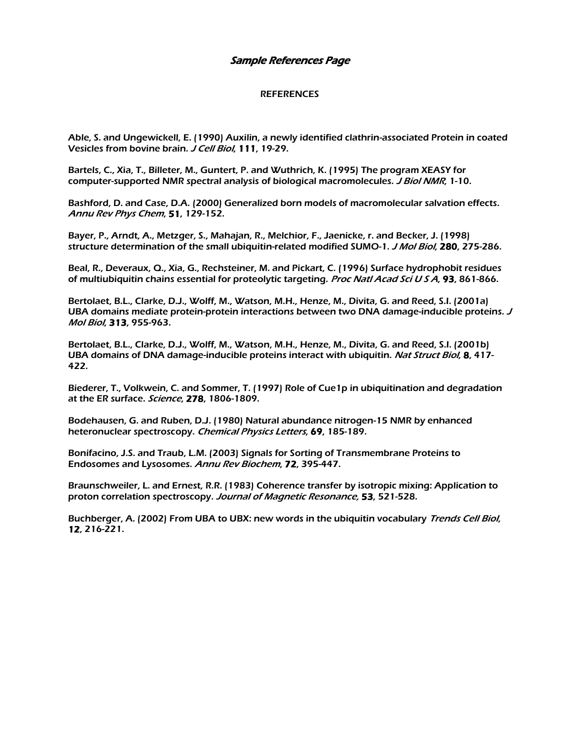### Sample References Page

#### **REFERENCES**

Able, S. and Ungewickell, E. (1990) Auxilin, a newly identified clathrin-associated Protein in coated Vesicles from bovine brain. *J Cell Biol*, 111, 19-29.

Bartels, C., Xia, T., Billeter, M., Guntert, P. and Wuthrich, K. (1995) The program XEASY for computer-supported NMR spectral analysis of biological macromolecules. J Biol NMR, 1-10.

Bashford, D. and Case, D.A. (2000) Generalized born models of macromolecular salvation effects. Annu Rev Phys Chem, 51, 129-152.

Bayer, P., Arndt, A., Metzger, S., Mahajan, R., Melchior, F., Jaenicke, r. and Becker, J. (1998) structure determination of the small ubiquitin-related modified SUMO-1. J Mol Biol, 280, 275-286.

Beal, R., Deveraux, Q., Xia, G., Rechsteiner, M. and Pickart, C. (1996) Surface hydrophobit residues of multiubiquitin chains essential for proteolytic targeting. Proc Natl Acad Sci USA, 93, 861-866.

Bertolaet, B.L., Clarke, D.J., Wolff, M., Watson, M.H., Henze, M., Divita, G. and Reed, S.I. (2001a) UBA domains mediate protein-protein interactions between two DNA damage-inducible proteins. <sup>J</sup> Mol Biol, 313, 955-963.

Bertolaet, B.L., Clarke, D.J., Wolff, M., Watson, M.H., Henze, M., Divita, G. and Reed, S.I. (2001b) UBA domains of DNA damage-inducible proteins interact with ubiquitin. Nat Struct Biol, 8, 417-422.

Biederer, T., Volkwein, C. and Sommer, T. (1997) Role of Cue1p in ubiquitination and degradation at the ER surface. Science, 278, 1806-1809.

Bodehausen, G. and Ruben, D.J. (1980) Natural abundance nitrogen-15 NMR by enhanced heteronuclear spectroscopy. Chemical Physics Letters, 69, 185-189.

Bonifacino, J.S. and Traub, L.M. (2003) Signals for Sorting of Transmembrane Proteins to Endosomes and Lysosomes. Annu Rev Biochem, 72, 395-447.

Braunschweiler, L. and Ernest, R.R. (1983) Coherence transfer by isotropic mixing: Application to proton correlation spectroscopy. Journal of Magnetic Resonance, 53, 521-528.

Buchberger, A. (2002) From UBA to UBX: new words in the ubiquitin vocabulary Trends Cell Biol, 12, 216-221.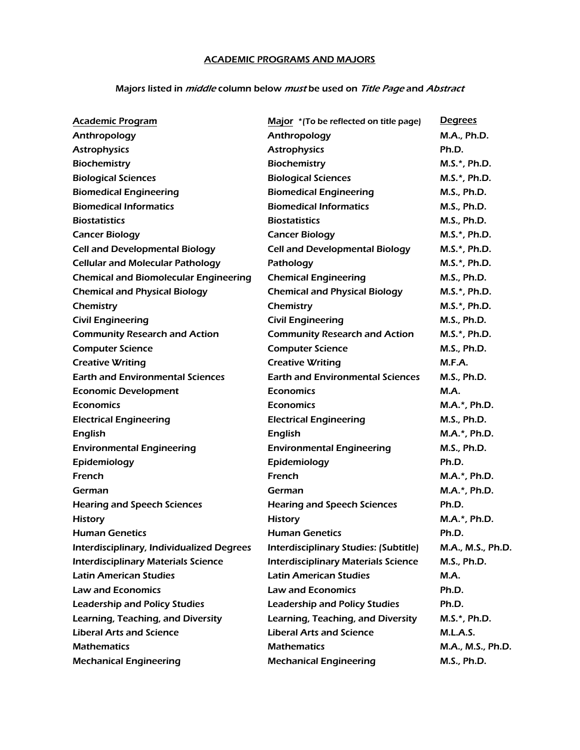## ACADEMIC PROGRAMS AND MAJORS

## Majors listed in *middle* column below *must* be used on Title Page and Abstract

| <b>Academic Program</b>                      | Major *(To be reflected on title page)     | <b>Degrees</b>     |
|----------------------------------------------|--------------------------------------------|--------------------|
| Anthropology                                 | Anthropology                               | M.A., Ph.D.        |
| <b>Astrophysics</b>                          | <b>Astrophysics</b>                        | Ph.D.              |
| <b>Biochemistry</b>                          | <b>Biochemistry</b>                        | M.S.*, Ph.D.       |
| <b>Biological Sciences</b>                   | <b>Biological Sciences</b>                 | M.S.*, Ph.D.       |
| <b>Biomedical Engineering</b>                | <b>Biomedical Engineering</b>              | <b>M.S., Ph.D.</b> |
| <b>Biomedical Informatics</b>                | <b>Biomedical Informatics</b>              | M.S., Ph.D.        |
| <b>Biostatistics</b>                         | <b>Biostatistics</b>                       | <b>M.S., Ph.D.</b> |
| <b>Cancer Biology</b>                        | <b>Cancer Biology</b>                      | M.S.*, Ph.D.       |
| <b>Cell and Developmental Biology</b>        | <b>Cell and Developmental Biology</b>      | M.S.*, Ph.D.       |
| <b>Cellular and Molecular Pathology</b>      | Pathology                                  | M.S.*, Ph.D.       |
| <b>Chemical and Biomolecular Engineering</b> | <b>Chemical Engineering</b>                | <b>M.S., Ph.D.</b> |
| <b>Chemical and Physical Biology</b>         | <b>Chemical and Physical Biology</b>       | M.S.*, Ph.D.       |
| Chemistry                                    | Chemistry                                  | M.S.*, Ph.D.       |
| <b>Civil Engineering</b>                     | <b>Civil Engineering</b>                   | M.S., Ph.D.        |
| <b>Community Research and Action</b>         | <b>Community Research and Action</b>       | M.S.*, Ph.D.       |
| <b>Computer Science</b>                      | <b>Computer Science</b>                    | M.S., Ph.D.        |
| <b>Creative Writing</b>                      | <b>Creative Writing</b>                    | M.F.A.             |
| <b>Earth and Environmental Sciences</b>      | <b>Earth and Environmental Sciences</b>    | M.S., Ph.D.        |
| <b>Economic Development</b>                  | <b>Economics</b>                           | <b>M.A.</b>        |
| <b>Economics</b>                             | <b>Economics</b>                           | M.A.*, Ph.D.       |
| <b>Electrical Engineering</b>                | <b>Electrical Engineering</b>              | M.S., Ph.D.        |
| <b>English</b>                               | <b>English</b>                             | M.A.*, Ph.D.       |
| <b>Environmental Engineering</b>             | <b>Environmental Engineering</b>           | M.S., Ph.D.        |
| Epidemiology                                 | Epidemiology                               | Ph.D.              |
| French                                       | French                                     | M.A.*, Ph.D.       |
| German                                       | German                                     | M.A.*, Ph.D.       |
| <b>Hearing and Speech Sciences</b>           | <b>Hearing and Speech Sciences</b>         | Ph.D.              |
| <b>History</b>                               | <b>History</b>                             | M.A.*, Ph.D.       |
| <b>Human Genetics</b>                        | <b>Human Genetics</b>                      | Ph.D.              |
| Interdisciplinary, Individualized Degrees    | Interdisciplinary Studies: (Subtitle)      | M.A., M.S., Ph.D.  |
| <b>Interdisciplinary Materials Science</b>   | <b>Interdisciplinary Materials Science</b> | M.S., Ph.D.        |
| <b>Latin American Studies</b>                | <b>Latin American Studies</b>              | <b>M.A.</b>        |
| <b>Law and Economics</b>                     | <b>Law and Economics</b>                   | Ph.D.              |
| <b>Leadership and Policy Studies</b>         | <b>Leadership and Policy Studies</b>       | Ph.D.              |
| Learning, Teaching, and Diversity            | Learning, Teaching, and Diversity          | M.S.*, Ph.D.       |
| <b>Liberal Arts and Science</b>              | <b>Liberal Arts and Science</b>            | <b>M.L.A.S.</b>    |
| <b>Mathematics</b>                           | <b>Mathematics</b>                         | M.A., M.S., Ph.D.  |
| <b>Mechanical Engineering</b>                | <b>Mechanical Engineering</b>              | <b>M.S., Ph.D.</b> |